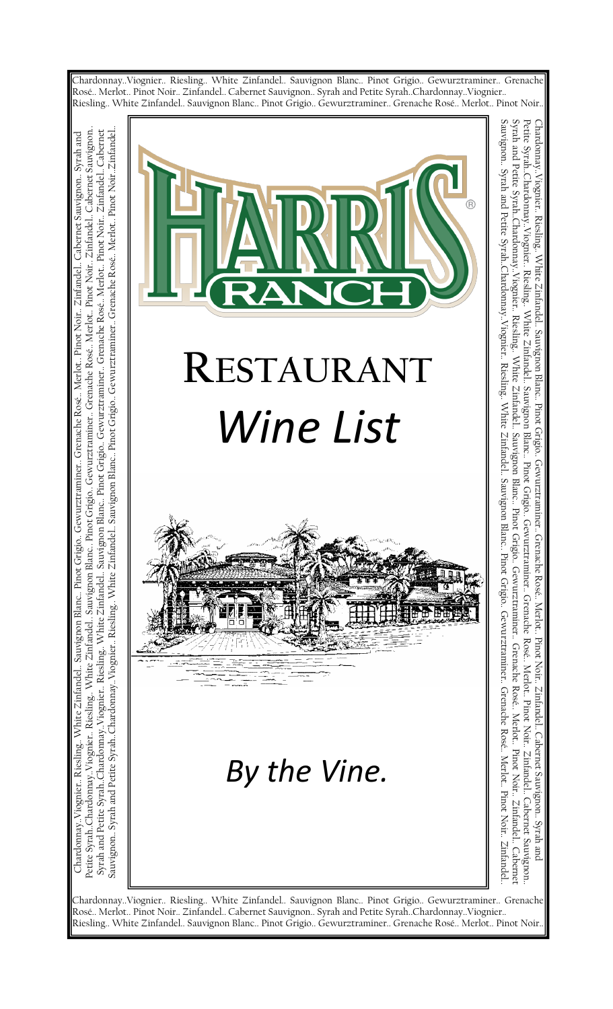

Rosé.. Merlot.. Pinot Noir.. Zinfandel.. Cabernet Sauvignon.. Syrah and Petite Syrah..Chardonnay..Viognier..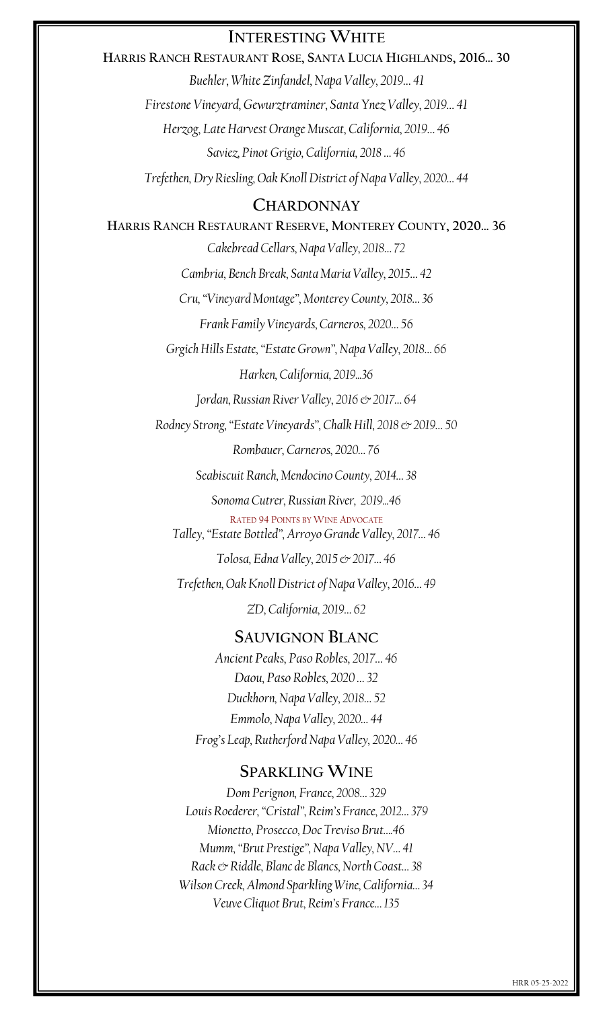## **INTERESTING WHITE**

**HARRIS RANCH RESTAURANT ROSE, SANTA LUCIA HIGHLANDS, 2016… 30** *Buehler, White Zinfandel, Napa Valley, 2019… 41 Firestone Vineyard, Gewurztraminer, Santa Ynez Valley, 2019… 41 Herzog, Late Harvest Orange Muscat, California, 2019… 46 Saviez, Pinot Grigio, California, 2018 … 46 Trefethen, Dry Riesling, Oak Knoll District of Napa Valley, 2020… 44*

### **CHARDONNAY**

**HARRIS RANCH RESTAURANT RESERVE, MONTEREY COUNTY, 2020… 36** *Cakebread Cellars, Napa Valley, 2018… 72 Cambria, Bench Break, Santa Maria Valley, 2015… 42 Cru, "Vineyard Montage", Monterey County, 2018… 36 Frank Family Vineyards, Carneros, 2020… 56 Grgich Hills Estate, "Estate Grown", Napa Valley, 2018… 66 Harken, California, 2019...36 Jordan, Russian River Valley, 2016 & 2017… 64 Rodney Strong, "Estate Vineyards", Chalk Hill, 2018 & 2019… 50 Rombauer, Carneros, 2020… 76 Seabiscuit Ranch, Mendocino County, 2014… 38 Sonoma Cutrer, Russian River, 2019...46* RATED 94 POINTS BY WINE ADVOCATE *Talley, "Estate Bottled", Arroyo Grande Valley, 2017… 46 Tolosa, Edna Valley, 2015 & 2017… 46 Trefethen, Oak Knoll District of Napa Valley, 2016… 49 ZD, California, 2019… 62* **SAUVIGNON BLANC**

*Ancient Peaks, Paso Robles, 2017… 46 Daou, Paso Robles, 2020 … 32 Duckhorn, Napa Valley, 2018… 52 Emmolo, Napa Valley, 2020… 44 Frog's Leap, Rutherford Napa Valley, 2020… 46*

#### **SPARKLING WINE**

*Dom Perignon, France, 2008… 329 Louis Roederer, "Cristal", Reim's France, 2012… 379 Mionetto, Prosecco, Doc Treviso Brut….46 Mumm, "Brut Prestige", Napa Valley, NV… 41 Rack & Riddle, Blanc de Blancs, North Coast… 38 Wilson Creek, Almond Sparkling Wine, California… 34 Veuve Cliquot Brut, Reim's France… 135*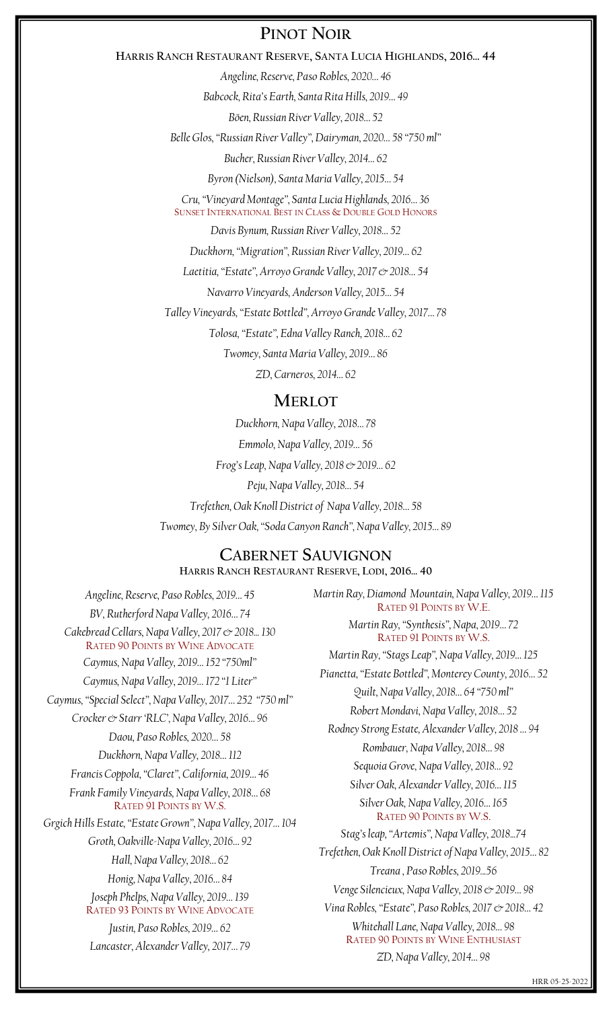## **PINOT NOIR**

#### **HARRIS RANCH RESTAURANT RESERVE, SANTA LUCIA HIGHLANDS, 2016… 44**

*Angeline, Reserve, Paso Robles, 2020… 46*

*Babcock, Rita's Earth, Santa Rita Hills, 2019… 49*

*Böen, Russian River Valley, 2018… 52*

*Belle Glos, "Russian River Valley", Dairyman, 2020… 58 "750 ml"*

*Bucher, Russian River Valley, 2014… 62*

*Byron (Nielson), Santa Maria Valley, 2015… 54*

*Cru, "Vineyard Montage", Santa Lucia Highlands, 2016… 36* SUNSET INTERNATIONAL BEST IN CLASS & DOUBLE GOLD HONORS

*Davis Bynum, Russian River Valley, 2018… 52*

*Duckhorn, "Migration", Russian River Valley, 2019… 62*

*Laetitia, "Estate", Arroyo Grande Valley, 2017 & 2018… 54*

*Navarro Vineyards, Anderson Valley, 2015… 54*

*Talley Vineyards, "Estate Bottled", Arroyo Grande Valley, 2017… 78*

*Tolosa, "Estate", Edna Valley Ranch, 2018… 62*

*Twomey, Santa Maria Valley, 2019… 86*

*ZD, Carneros, 2014… 62*

#### **MERLOT**

*Duckhorn, Napa Valley, 2018… 78 Emmolo, Napa Valley, 2019… 56 Frog's Leap, Napa Valley, 2018 & 2019… 62 Peju, Napa Valley, 2018… 54 Trefethen, Oak Knoll District of Napa Valley, 2018… 58 Twomey, By Silver Oak, "Soda Canyon Ranch", Napa Valley, 2015… 89*

#### **CABERNET SAUVIGNON HARRIS RANCH RESTAURANT RESERVE, LODI, 2016… 40**

*Angeline, Reserve, Paso Robles, 2019… 45 BV, Rutherford Napa Valley, 2016… 74 Cakebread Cellars, Napa Valley, 2017 & 2018... 130* RATED 90 POINTS BY WINE ADVOCATE *Caymus, Napa Valley, 2019… 152 "750ml" Caymus, Napa Valley, 2019… 172 "1 Liter" Caymus, "Special Select", Napa Valley, 2017… 252 "750 ml" Crocker & Starr 'RLC', Napa Valley, 2016… 96 Daou, Paso Robles, 2020… 58 Duckhorn, Napa Valley, 2018… 112 Francis Coppola, "Claret", California, 2019… 46 Frank Family Vineyards, Napa Valley, 2018… 68* RATED 91 POINTS BY W.S. *Grgich Hills Estate, "Estate Grown", Napa Valley, 2017… 104 Groth, Oakville-Napa Valley, 2016… 92 Hall, Napa Valley, 2018… 62 Honig, Napa Valley, 2016… 84 Joseph Phelps, Napa Valley, 2019… 139* RATED 93 POINTS BY WINE ADVOCATE *Justin, Paso Robles, 2019… 62 Lancaster, Alexander Valley, 2017… 79*

*Martin Ray, Diamond Mountain, Napa Valley, 2019… 115* RATED 91 POINTS BY W.E. *Martin Ray, "Synthesis", Napa, 2019… 72* RATED 91 POINTS BY W.S. *Martin Ray, "Stags Leap", Napa Valley, 2019… 125 Pianetta, "Estate Bottled", Monterey County, 2016… 52 Quilt, Napa Valley, 2018… 64 "750 ml" Robert Mondavi, Napa Valley, 2018… 52 Rodney Strong Estate, Alexander Valley, 2018 … 94 Rombauer, Napa Valley, 2018… 98 Sequoia Grove, Napa Valley, 2018… 92 Silver Oak, Alexander Valley, 2016… 115 Silver Oak, Napa Valley, 2016… 165* RATED 90 POINTS BY W.S. *Stag's leap, "Artemis", Napa Valley, 2018...74 Trefethen, Oak Knoll District of Napa Valley, 2015… 82 Treana , Paso Robles, 2019...56 Venge Silencieux, Napa Valley, 2018 & 2019… 98 Vina Robles, "Estate", Paso Robles, 2017 & 2018… 42 Whitehall Lane, Napa Valley, 2018… 98* RATED 90 POINTS BY WINE ENTHUSIAST *ZD, Napa Valley, 2014… 98*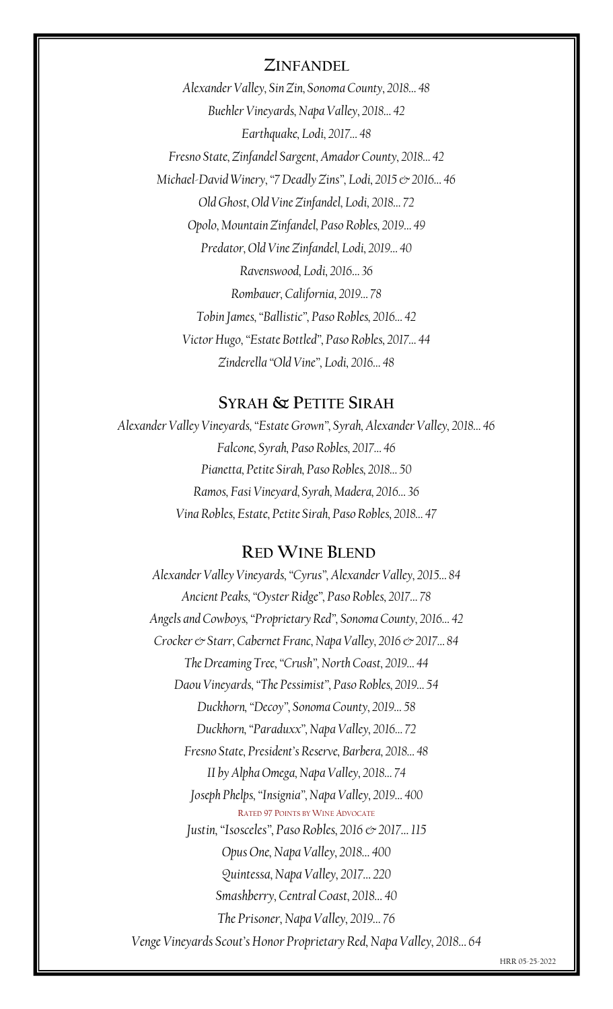#### **ZINFANDEL**

*Alexander Valley, Sin Zin, Sonoma County, 2018… 48 Buehler Vineyards, Napa Valley, 2018… 42 Earthquake, Lodi, 2017… 48 Fresno State, Zinfandel Sargent, Amador County, 2018… 42 Michael-David Winery, "7 Deadly Zins", Lodi, 2015 & 2016… 46 Old Ghost, Old Vine Zinfandel, Lodi, 2018… 72 Opolo, Mountain Zinfandel, Paso Robles, 2019… 49 Predator, Old Vine Zinfandel, Lodi, 2019… 40 Ravenswood, Lodi, 2016… 36 Rombauer, California, 2019… 78 Tobin James, "Ballistic", Paso Robles, 2016… 42 Victor Hugo, "Estate Bottled", Paso Robles, 2017… 44 Zinderella "Old Vine", Lodi, 2016… 48*

### **SYRAH & PETITE SIRAH**

*Alexander Valley Vineyards, "Estate Grown", Syrah, Alexander Valley, 2018… 46 Falcone, Syrah, Paso Robles, 2017… 46 Pianetta, Petite Sirah, Paso Robles, 2018… 50 Ramos, Fasi Vineyard, Syrah, Madera, 2016… 36 Vina Robles, Estate, Petite Sirah, Paso Robles, 2018… 47*

#### **RED WINE BLEND**

*Alexander Valley Vineyards, "Cyrus", Alexander Valley, 2015… 84 Ancient Peaks, "Oyster Ridge", Paso Robles, 2017… 78 Angels and Cowboys, "Proprietary Red", Sonoma County, 2016… 42 Crocker & Starr, Cabernet Franc, Napa Valley, 2016 & 2017… 84 The Dreaming Tree, "Crush", North Coast, 2019… 44 Daou Vineyards, "The Pessimist", Paso Robles, 2019… 54 Duckhorn, "Decoy", Sonoma County, 2019… 58 Duckhorn, "Paraduxx", Napa Valley, 2016… 72 Fresno State, President's Reserve, Barbera, 2018… 48 II by Alpha Omega, Napa Valley, 2018… 74 Joseph Phelps, "Insignia", Napa Valley, 2019… 400* RATED 97 POINTS BY WINE ADVOCATE *Justin, "Isosceles", Paso Robles, 2016 & 2017… 115 Opus One, Napa Valley, 2018… 400 Quintessa, Napa Valley, 2017… 220 Smashberry, Central Coast, 2018… 40 The Prisoner, Napa Valley, 2019… 76 Venge Vineyards Scout's Honor Proprietary Red, Napa Valley, 2018… 64*